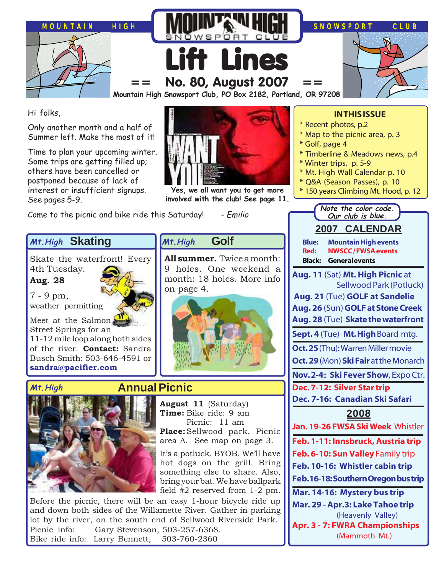

Hi folks,

Only another month and a half of Summer left. Make the most of it!

Time to plan your upcoming winter. Some trips are getting filled up; others have been cancelled or postponed because of lack of interest or insufficient signups. See pages 5-9.



**Yes, we all want you to get more involved with the club! See page 11.**

Come to the picnic and bike ride this Saturday! - Emilio

**Skating Mt.High**

Skate the waterfront! Every 4th Tuesday.

**Aug. 28**

7 - 9 pm, weather permitting

Meet at the Salmon Street Springs for an 11-12 mile loop along both sides of the river. **Contact:** Sandra Busch Smith: 503-646-4591 or **[sandra@pacifier.com](mailto:sandra@pacifier.com)**





### **Golf Mt.High**

**All summer.** Twice a month: 9 holes. One weekend a month: 18 holes. More info on page 4.



# **Annual Picnic**

**August 11** (Saturday) **Time:** Bike ride: 9 am Picnic: 11 am **Place:**Sellwood park, Picnic area A. See map on page 3.

It's a potluck. BYOB. We'll have hot dogs on the grill. Bring something else to share. Also, bring your bat. We have ballpark field #2 reserved from 1-2 pm.

Before the picnic, there will be an easy 1-hour bicycle ride up and down both sides of the Willamette River. Gather in parking lot by the river, on the south end of Sellwood Riverside Park. Picnic info: Gary Stevenson, 503-257-6368. Bike ride info: Larry Bennett, 503-760-2360

## **IN THIS ISSUE**

- \* Recent photos, p.2
- \* Map to the picnic area, p. 3
- \* Golf, page 4
- \* Timberline & Meadows news, p.4
- \* Winter trips, p. 5-9
- \* Mt. High Wall Calendar p. 10
- \* Q&A (Season Passes), p. 10
- \* 150 years Climbing Mt. Hood, p. 12

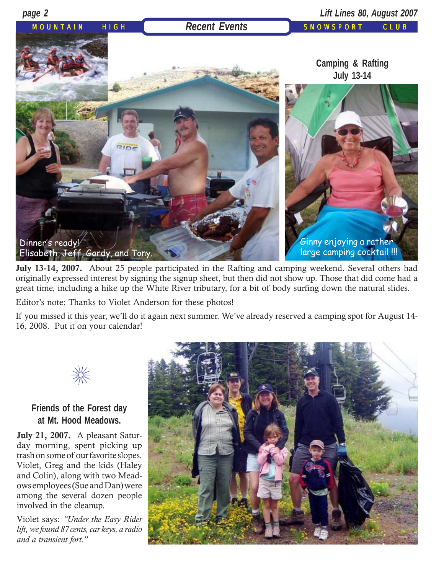





**July 13-14, 2007.** About 25 people participated in the Rafting and camping weekend. Several others had originally expressed interest by signing the signup sheet, but then did not show up. Those that did come had a great time, including a hike up the White River tributary, for a bit of body surfing down the natural slides.

Editor's note: Thanks to Violet Anderson for these photos!

If you missed it this year, we'll do it again next summer. We've already reserved a camping spot for August 14- 16, 2008. Put it on your calendar!



# **Friends of the Forest day at Mt. Hood Meadows.**

**July 21, 2007.** A pleasant Saturday morning, spent picking up trash on some of our favorite slopes. Violet, Greg and the kids (Haley and Colin), along with two Meadows employees (Sue and Dan) were among the several dozen people involved in the cleanup.

Violet says: *"Under the Easy Rider lift, we found 87 cents, car keys, a radio and a transient fort."*

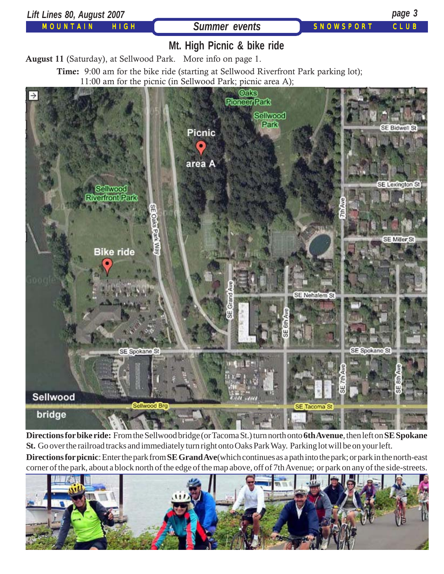

**Directions for bike ride:** From the Sellwood bridge (or Tacoma St.) turn north onto **6th Avenue**, then left on **SE Spokane St.** Go over the railroad tracks and immediately turn right onto Oaks Park Way. Parking lot will be on your left.

**Directions for picnic**: Enter the park from **SE Grand Ave**(which continues as a path into the park; or park in the north-east corner of the park, about a block north of the edge of the map above, off of 7th Avenue; or park on any of the side-streets.

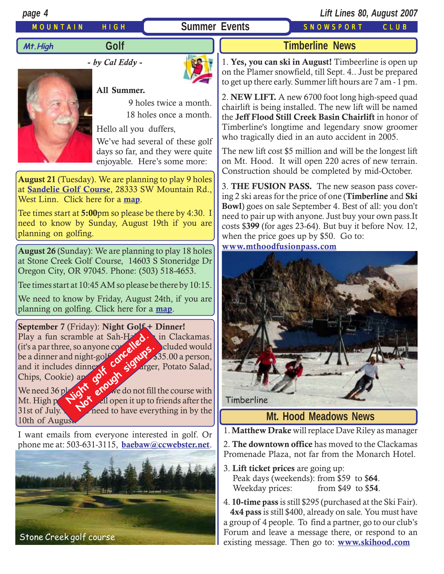# MOUNTAIN HIGH **Summer Events** SNOWSPORT CLUB

*page 4 Lift Lines 80, August 2007*

**Mt.High**

# **Golf**

**-** *by Cal Eddy* **-**



## **All Summer.**



# 9 holes twice a month.

18 holes once a month.

Hello all you duffers,

We've had several of these golf days so far, and they were quite enjoyable. Here's some more:

**August 21** (Tuesday). We are planning to play 9 holes at **[Sandelie Golf Course](http://www.sandeliegolfcourse.com/)**, 28333 SW Mountain Rd., West Linn. Click here for a **[map](http://maps.google.com/maps?f=q&hl=en&q=28333+SW+Mountain+Rd,+West+Linn,+OR&sll=45.363062,-122.696085&sspn=0.026836,0.05785&ie=UTF8&ll=45.331996,-122.683468&spn=0.053701,0.1157&z=13&om=1)**.

Tee times start at **5:00**pm so please be there by 4:30. I need to know by Sunday, August 19th if you are planning on golfing.

**August 26** (Sunday): We are planning to play 18 holes at Stone Creek Golf Course, 14603 S Stoneridge Dr Oregon City, OR 97045. Phone: (503) 518-4653.

Tee times start at 10:45 AM so please be there by 10:15.

We need to know by Friday, August 24th, if you are planning on golfing. Click here for a **[map](http://www.mapquest.com/maps/map.adp?searchtype=address&country=US&addtohistory=&searchtab=home&formtype=address&popflag=0&latitude=&longitude=&name=&phone=&level=&cat=&address=14603+S+Stoneridge+Dr&city=Oregon+City&state=OR&zipcode=)**.

**September 7** (Friday): **Night Golf + Dinner!** Play a fun scramble at Sah-H $\sim$  in Clackamas. (it's a par three, so anyone could  $\mathbb{R}^{\mathbb{Z}}$  e. cluded would be a dinner and night-golf  $\mathbb{C}$ ,  $\mathbb{C}$ ,  $\mathbb{C}$  is \$35.00 a person, and it includes dinner  $\epsilon$  Gy arger, Potato Salad, Chips, Cookie) and  $\mathbb{Q}^{\bullet}$ . Example at Sah-Herod.<br>
The so anyone corrected. Timberline Report of the Report of the Report of the Report of the Report of the Report of the Report of the Report of the Report of the Report of the Report of the Report of the Report of the Report of the Report of the R

We need 36 players  $\delta$  and  $\delta$  we do not fill the course with Mt. High political open it up to friends after the  $31$ st of July.  $\blacksquare$  need to have everything in by the 10th of August.

I want emails from everyone interested in golf. Or phone me at: 503-631-3115, **[baebaw@ccwebster.net](mailto:baebaw@ccwebster.net)**.



# **Timberline News**

1. **Yes, you can ski in August!** Timbeerline is open up on the Plamer snowfield, till Sept. 4.. Just be prepared to get up there early. Summer lift hours are 7 am - 1 pm.

2. **NEW LIFT.** A new 6700 foot long high-speed quad chairlift is being installed. The new lift will be named the **Jeff Flood Still Creek Basin Chairlift** in honor of Timberline's longtime and legendary snow groomer who tragically died in an auto accident in 2005.

The new lift cost \$5 million and will be the longest lift on Mt. Hood. It will open 220 acres of new terrain. Construction should be completed by mid-October.

3. **THE FUSION PASS.** The new season pass covering 2 ski areas for the price of one (**Timberline** and **Ski Bowl**) goes on sale September 4. Best of all: you don't need to pair up with anyone. Just buy your own pass.It costs \$**399** (for ages 23-64). But buy it before Nov. 12, when the price goes up by \$50. Go to: **[www.mthoodfusionpass.com](http://www.mthoodfusionpass.com/)**



# **Mt. Hood Meadows News**

1. **Matthew Drake** will replace Dave Riley as manager

2. **The downtown office** has moved to the Clackamas Promenade Plaza, not far from the Monarch Hotel.

- 3. **Lift ticket prices** are going up: Peak days (weekends): from \$59 to \$**64**. Weekday prices: from \$49 to \$**54**.
- 4. **10-time pass** is still \$295 (purchased at the Ski Fair). **4x4 pass** is still \$400, already on sale. You must have a group of 4 people. To find a partner, go to our club's Forum and leave a message there, or respond to an existing message. Then go to: **[www.skihood.com](http://www.skihood.com/Pricing/SeasonPasses/4Buy4/default.aspx)**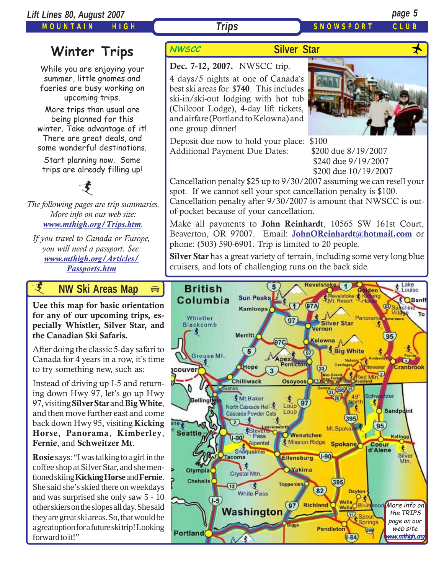MOUNTAIN HIGH

**Dec. 7-12, 2007.** NWSCC trip.

# **Trips** SNOWSPORT CLUE

# **Winter Trips** NWSCC

While you are enjoying your summer, little gnomes and faeries are busy working on upcoming trips.

More trips than usual are being planned for this winter. Take advantage of it! There are great deals, and some wonderful destinations.

Start planning now. Some trips are already filling up!

*The following pages are trip summaries. More info on our web site: [www.mthigh.org/Trips.htm](http://www.mthigh.org/Trips.htm).* 支

*If you travel to Canada or Europe, you will need a passport. See: [www.mthigh.org/Articles/](http://www.mthigh.org/Articles/Passports.htm) [Passports.htm](http://www.mthigh.org/Articles/Passports.htm)*

*i* **AW Ski Areas Ma[p](http://beavercreek.snow.com/winterhome.asp)** 

**Uee this map for basic orientation [for any of our upcoming trips, es](http://beavercreek.snow.com/winterhome.asp)pecially Whistler, Silver Star, and [the Canadian Ski Safaris.](http://beavercreek.snow.com/winterhome.asp)** 

After doing the classic 5-day safari to Canada for 4 years in a row, it's time to try something new, such as:

Instead of driving up I-5 and returning down Hwy 97, let's go up Hwy 97, visiting **Silver Star** and **Big White**, and then move further east and come back down Hwy 95, visiting **Kicking Horse**, **Panorama**, **Kimberley**, **Fernie**, and **Schweitzer Mt**.

**Rosie** says: "I was talking to a girl in the coffee shop at Silver Star, and she mentioned skiing **Kicking Horse** and **Fernie**. She said she's skied there on weekdays and was surprised she only saw 5 - 10 other skiers on the slopes all day. She said they are great ski areas. So, that would be a great option for a future ski trip! Looking forward to it!"

# **Silver Star**

4 days/5 nights at one of Canada's

best ski areas for \$**740**. This includes ski-in/ski-out lodging with hot tub (Chilcoot Lodge), 4-day lift tickets, and airfare (Portland to Kelowna) and one group dinner!

Deposit due now to hold your place: \$100 Additional Payment Due Dates: \$200 due 8/19/2007

of-pocket because of your cancellation.

 \$240 due 9/19/2007 \$200 due 10/19/2007

Cancellation penalty \$25 up to 9/30/2007 assuming we can resell your spot. If we cannot sell your spot cancellation penalty is \$100. Cancellation penalty after 9/30/2007 is amount that NWSCC is out-

Make all payments to **John Reinhardt**, 10565 SW 161st Court, Beaverton, OR 97007. Email: **JohnOReinhardt@hotmail.com** or phone: (503) 590-6901. Trip is limited to 20 people.

**Silver Star** has a great variety of terrain, including some very long blue cruisers, and lots of challenging runs on the back side.

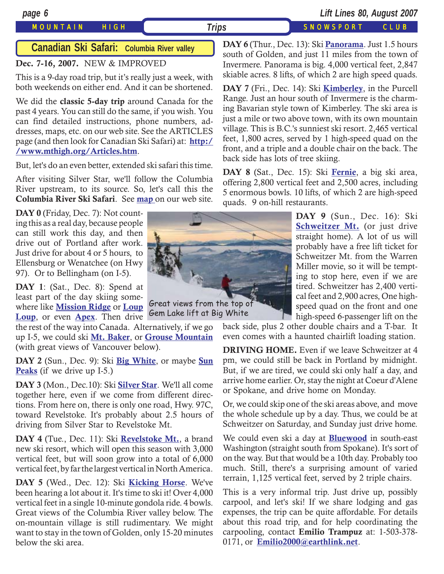## MOUNTAIN HIGH *Trips* SNOWSPORT CLUB

*page 6 Lift Lines 80, August 2007*

## **Canadian Ski Safari: Columbia River valley**

## **Dec. 7-16, 2007.** NEW & IMPROVED

This is a 9-day road trip, but it's really just a week, with both weekends on either end. And it can be shortened.

We did the **classic 5-day trip** around Canada for the past 4 years. You can still do the same, if you wish. You can find detailed instructions, phone numbers, addresses, maps, etc. on our web site. See the ARTICLES page (and then look for Canadian Ski Safari) at: **[http:/](http://www.mthigh.org/Articles.htm) [/www.mthigh.org/Articles.htm](http://www.mthigh.org/Articles.htm)**.

But, let's do an even better, extended ski safari this time.

After visiting Silver Star, we'll follow the Columbia River upstream, to its source. So, let's call this the **Columbia River Ski Safari**. See **[map](http://www.mthigh.org/Trips/Map-NW-Ski-Safaris-w.jpg)** on our web site.

DAY 0 (Friday, Dec. 7): Not counting this as a real day, because people can still work this day, and then drive out of Portland after work. Just drive for about 4 or 5 hours, to Ellensburg or Wenatchee (on Hwy 97). Or to Bellingham (on I-5).

**DAY 1**: (Sat., Dec. 8): Spend at least part of the day skiing somewhere like **[Mission Ridge](http://www.missionridge.com/)** or **Loup [Loup](http://www.skitheloup.com/)**, or even **[Apex](http://www.apexresort.com/)**. Then drive

the rest of the way into Canada. Alternatively, if we go up I-5, we could ski **[Mt. Baker](http://www.mtbaker.us/)**, or **[Grouse Mountain](http://www.grousemountain.com/welcome.cfm)** (with great views of Vancouver below).

**DAY 2** (Sun., Dec. 9): Ski **[Big White](http://www.bigwhite.com/)**, or maybe **[Sun](http://www.sunpeaksresort.com/) [Peaks](http://www.sunpeaksresort.com/)** (if we drive up I-5.)

**DAY 3** (Mon., Dec.10): Ski **[Silver Star](http://www.skisilverstar.com/)**. We'll all come together here, even if we come from different directions. From here on, there is only one road, Hwy. 97C, toward Revelstoke. It's probably about 2.5 hours of driving from Silver Star to Revelstoke Mt.

**DAY 4** (Tue., Dec. 11): Ski **[Revelstoke Mt.](http://www.discoverrevelstoke.com/)**, a brand new ski resort, which will open this season with 3,000 vertical feet, but will soon grow into a total of 6,000 vertical feet, by far the largest vertical in North America.

**DAY 5** (Wed., Dec. 12): Ski **[Kicking Horse](http://www.kickinghorseresort.com/winter/)**. We've been hearing a lot about it. It's time to ski it! Over 4,000 vertical feet in a single 10-minute gondola ride. 4 bowls. Great views of the Columbia River valley below. The on-mountain village is still rudimentary. We might want to stay in the town of Golden, only 15-20 minutes below the ski area.



Gem Lake lift at Big White

**DAY 6** (Thur., Dec. 13): Ski **[Panorama](http://www.panoramaresort.com/index.htm)**. Just 1.5 hours south of Golden, and just 11 miles from the town of Invermere. Panorama is big. 4,000 vertical feet, 2,847 skiable acres. 8 lifts, of which 2 are high speed quads.

**DAY 7** (Fri., Dec. 14): Ski **[Kimberley](http://www.skikimberley.com/)**, in the Purcell Range. Just an hour south of Invermere is the charming Bavarian style town of Kimberley. The ski area is just a mile or two above town, with its own mountain village. This is B.C.'s sunniest ski resort. 2,465 vertical feet, 1,800 acres, served by 1 high-speed quad on the front, and a triple and a double chair on the back. The back side has lots of tree skiing.

**DAY 8** (Sat., Dec. 15): Ski **[Fernie](http://www.skifernie.com/the-mountain.aspx)**, a big ski area, offering 2,800 vertical feet and 2,500 acres, including 5 enormous bowls. 10 lifts, of which 2 are high-speed quads. 9 on-hill restaurants.

> **DAY 9** (Sun., Dec. 16): Ski **BEHWEILET MI.** (OF JUST LITVE<br>straight home). A lot of us will **[Schweitzer Mt.](http://www.schweitzer.com/)** (or just drive probably have a free lift ticket for Schweitzer Mt. from the Warren Miller movie, so it will be tempting to stop here, even if we are tired. Schweitzer has 2,400 vertical feet and 2,900 acres, One highspeed quad on the front and one high-speed 6-passenger lift on the

back side, plus 2 other double chairs and a T-bar. It even comes with a haunted chairlift loading station.

**DRIVING HOME.** Even if we leave Schweitzer at 4 pm, we could still be back in Portland by midnight. But, if we are tired, we could ski only half a day, and arrive home earlier. Or, stay the night at Coeur d'Alene or Spokane, and drive home on Monday.

Or, we could skip one of the ski areas above, and move the whole schedule up by a day. Thus, we could be at Schweitzer on Saturday, and Sunday just drive home.

We could even ski a day at **[Bluewood](http://www.bluewood.com/)** in south-east Washington (straight south from Spokane). It's sort of on the way. But that would be a 10th day. Probably too much. Still, there's a surprising amount of varied terrain, 1,125 vertical feet, served by 2 triple chairs.

This is a very informal trip. Just drive up, possibly carpool, and let's ski! If we share lodging and gas expenses, the trip can be quite affordable. For details about this road trip, and for help coordinating the carpooling, contact **Emilio Trampuz** at: 1-503-378- 0171, or **[Emilio2000@earthlink.net](mailto:Emilio2000@earthlink.net)**.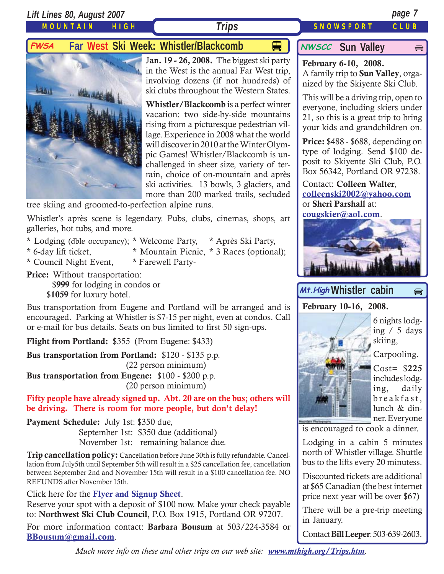*Lift Lines 80, August 2007 page 7*

MOUNTAIN HIGH

## **Trips** SNOWSPORT CLUB

 $\bigoplus$ 

# **FWSA** Far West Ski Week: Whistler/Blackcomb  $\Box$  MWSCC Sun Valley



J**an. 19 - 26, 2008.** The biggest ski party in the West is the annual Far West trip, involving dozens (if not hundreds) of ski clubs throughout the Western States.

**Whistler/Blackcomb** is a perfect winter vacation: two side-by-side mountains rising from a picturesque pedestrian village. Experience in 2008 what the world will discover in 2010 at the Winter Olympic Games! Whistler/Blackcomb is unchallenged in sheer size, variety of terrain, choice of on-mountain and après ski activities. 13 bowls, 3 glaciers, and more than 200 marked trails, secluded

tree skiing and groomed-to-perfection alpine runs.

Whistler's après scene is legendary. Pubs, clubs, cinemas, shops, art galleries, hot tubs, and more.

- \* Lodging (dble occupancy); \* Welcome Party, \* Après Ski Party,
- 
- \* 6-day lift ticket, \* Mountain Picnic, \* 3 Races (optional);
- \* Council Night Event, \* Farewell Party-
- **Price:** Without transportation: \$**999** for lodging in condos or \$**1059** for luxury hotel.

Bus transportation from Eugene and Portland will be arranged and is encouraged. Parking at Whistler is \$7-15 per night, even at condos. Call or e-mail for bus details. Seats on bus limited to first 50 sign-ups.

**Flight from Portland:** \$355 (From Eugene: \$433)

**Bus transportation from Portland:** \$120 - \$135 p.p. (22 person minimum)

**Bus transportation from Eugene:** \$100 - \$200 p.p. (20 person minimum)

**Fifty people have already signed up. Abt. 20 are on the bus; others will be driving. There is room for more people, but don't delay!**

**Payment Schedule:** July 1st: \$350 due,

September 1st: \$350 due (additional) November 1st: remaining balance due.

**Trip cancellation policy:** Cancellation before June 30th is fully refundable. Cancellation from July5th until September 5th will result in a \$25 cancellation fee, cancellation between September 2nd and November 15th will result in a \$100 cancellation fee. NO REFUNDS after November 15th.

Click here for the **[Flyer and Signup Sheet](http://www.mthigh.org/Trips/2008-FWSA-Whistler-flier.pdf)**.

Reserve your spot with a deposit of \$100 now. Make your check payable to: **Northwest Ski Club Council**, P.O. Box 1915, Portland OR 97207.

For more information contact: **Barbara Bousum** at 503/224-3584 or **[BBousum@gmail.com](mailto:BBousum@gmail.com)**.

**NWSCC** Sun Valley

**February 6-10, 2008.** A family trip to **Sun Valley**, organized by the Skiyente Ski Club.

This will be a driving trip, open to everyone, including skiers under 21, so this is a great trip to bring your kids and grandchildren on.

**Price:** \$488 - \$688, depending on type of lodging. Send \$100 deposit to Skiyente Ski Club, P.O. Box 56342, Portland OR 97238.

Contact: **Colleen Walter**, **[colleenski2002@yahoo.com](mailto:colleenski2002@yahoo.com)** or **Sheri Parshall** at:

**[cougskier@aol.com](mailto:cougskier@aol.com)**.



# Mt.High Whistler cabin  $\Rightarrow$

**February 10-16, 2008.**



Carpooling.

Cost= \$**225** includes lodging, daily breakfast, lunch & din-

ner. Everyone

is encouraged to cook a dinner.

Lodging in a cabin 5 minutes north of Whistler village. Shuttle bus to the lifts every 20 minutess.

Discounted tickets are additional at \$65 Canadian (the best internet price next year will be over \$67)

There will be a pre-trip meeting in January.

Contact **Bill Leeper**: 503-639-2603.

*Much more info on these and other trips on our web site: [www.mthigh.org/Trips.htm](http://www.mthigh.org/Trips.htm).*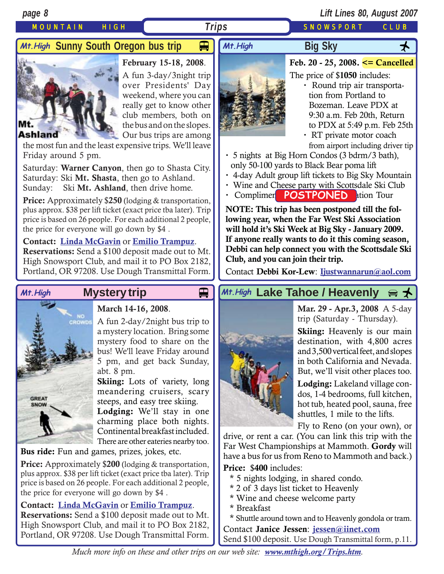# MOUNTAIN HIGH **Trips** SNOWSPORT CLUB

# *Trips*

## **Big Sky** *M+.High `*Sunny South Oregon bus trip

# Mt

**February 15-18, 2008**.

A fun 3-day/3night trip over Presidents' Day weekend, where you can really get to know other club members, both on the bus and on the slopes. Our bus trips are among

## **Ashland**

the most fun and the least expensive trips. We'll leave Friday around 5 pm.

Saturday: **Warner Canyon**, then go to Shasta City. Saturday: Ski **Mt. Shasta**, then go to Ashland. Sunday: Ski **Mt. Ashland**, then drive home.

**Price:** Approximately \$**250** (lodging & transportation, plus approx. \$38 per lift ticket (exact price tba later). Trip price is based on 26 people. For each additional 2 people, the price for everyone will go down by \$4 .

## **Contact: [Linda McGavin](mailto:Trips@mthigh.org)** or **[Emilio Trampuz](mailto:Emilio2000@earthlink.net)**.

**Reservations:** Send a \$100 deposit made out to Mt. High Snowsport Club, and mail it to PO Box 2182, Portland, OR 97208. Use Dough Transmittal Form.



# **March 14-16, 2008**.

A fun 2-day/2night bus trip to a mystery location. Bring some mystery food to share on the bus! We'll leave Friday around 5 pm, and get back Sunday, abt. 8 pm.

**Skiing:** Lots of variety, long meandering cruisers, scary steeps, and easy tree skiing.

**Lodging:** We'll stay in one charming place both nights. Continental breakfast included. There are other eateries nearby too.

**Bus ride:** Fun and games, prizes, jokes, etc.

**Price:** Approximately \$**200** (lodging & transportation, plus approx. \$38 per lift ticket (exact price tba later). Trip price is based on 26 people. For each additional 2 people, the price for everyone will go down by \$4 .

## **Contact: [Linda McGavin](mailto:Trips@mthigh.org)** or **[Emilio Trampuz](mailto:Emilio2000@earthlink.net)**.

**Reservations:** Send a \$100 deposit made out to Mt. High Snowsport Club, and mail it to PO Box 2182, Portland, OR 97208. Use Dough Transmittal Form.



- **Feb. 20 25, 2008. <= Cancelled**
- The price of \$**1050** includes:
	- **·** Round trip air transportation from Portland to Bozeman. Leave PDX at 9:30 a.m. Feb 20th, Return to PDX at 5:49 p.m. Feb 25th
	- **·** RT private motor coach from airport including driver tip
- **·** 5 nights at Big Horn Condos (3 bdrm/3 bath), only 50-100 yards to Black Bear poma lift
- **·** 4-day Adult group lift tickets to Big Sky Mountain
- **·** Wine and Cheese party with Scottsdale Ski Club
- **· Complimentally POSTPONED** attion Tour

**NOTE: This trip has been postponed till the following year, when the Far West Ski Association will hold it's Ski Week at Big Sky - January 2009. If anyone really wants to do it this coming season, Debbi can help connect you with the Scottsdale Ski Club, and you can join their trip.**

Contact **Debbi Kor-Lew**: **[Ijustwannarun@aol.com](mailto:Ijustwannarun@aol.com)**

# Mt.High Mystery trip **Details Altrigh Lake Tahoe / Heavenly** a <del>↓</del>



**Mar. 29 - Apr.3, 2008** A 5-day trip (Saturday - Thursday).

**Skiing:** Heavenly is our main destination, with 4,800 acres and 3,500 vertical feet, and slopes in both California and Nevada. But, we'll visit other places too.

**Lodging:** Lakeland village condos, 1-4 bedrooms, full kitchen, hot tub, heated pool, sauna, free shuttles, 1 mile to the lifts.

Fly to Reno (on your own), or

drive, or rent a car. (You can link this trip with the Far West Championships at Mammoth. **Gordy** will have a bus for us from Reno to Mammoth and back.)

**Price:** \$**400** includes:

- \* 5 nights lodging, in shared condo.
- \* 2 of 3 days list ticket to Heavenly
- \* Wine and cheese welcome party
- \* Breakfast

\* Shuttle around town and to Heavenly gondola or tram. Contact **Janice Jessen**: **[jessen@iinet.com](mailto:jessen@iinet.com)** Send \$100 deposit. Use Dough Transmittal form, p.11.

*Much more info on these and other trips on our web site: [www.mthigh.org/Trips.htm](http://www.mthigh.org/Trips.htm).*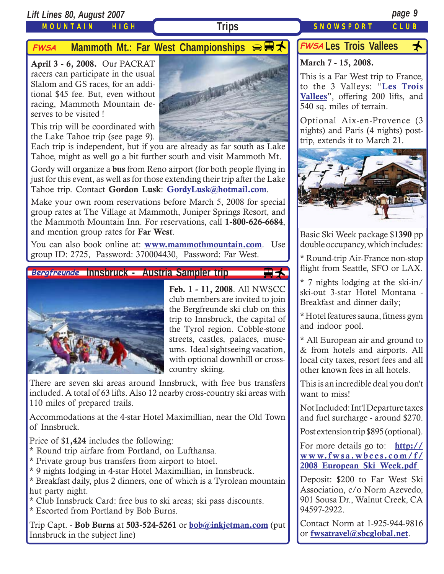# *Lift Lines 80, August 2007 page 9*

# MOUNTAIN HIGH

# **FWSA** Mammoth Mt.: Far West Championships  $\bigoplus$  **H**

**April 3 - 6, 2008.** Our PACRAT racers can participate in the usual Slalom and GS races, for an additional \$45 fee. But, even without racing, Mammoth Mountain deserves to be visited !

This trip will be coordinated with the Lake Tahoe trip (see page 9).



Each trip is independent, but if you are already as far south as Lake Tahoe, might as well go a bit further south and visit Mammoth Mt.

Gordy will organize a **bus** from Reno airport (for both people flying in just for this event, as well as for those extending their trip after the Lake Tahoe trip. Contact **Gordon Lusk**: **[GordyLusk@hotmail.com](mailto:gordylusk@hotmail.com)**.

Make your own room reservations before March 5, 2008 for special group rates at The Village at Mammoth, Juniper Springs Resort, and the Mammoth Mountain Inn. For reservations, call **1-800-626-6684**, and mention group rates for **Far West**.

You can also book online at: **[www.mammothmountain.com](http://www.mammothmountain.com/)**. Use group ID: 2725, Password: 370004430, Password: Far West.

## Bergfreunde Innsbruck - Austria Sampler trip



**Feb. 1 - 11, 2008**. All NWSCC club members are invited to join the Bergfreunde ski club on this trip to Innsbruck, the capital of the Tyrol region. Cobble-stone streets, castles, palaces, museums. Ideal sightseeing vacation, with optional downhill or crosscountry skiing.

**A** 

There are seven ski areas around Innsbruck, with free bus transfers included. A total of 63 lifts. Also 12 nearby cross-country ski areas with 110 miles of prepared trails.

Accommodations at the 4-star Hotel Maximillian, near the Old Town of Innsbruck.

Price of \$**1,424** includes the following:

- \* Round trip airfare from Portland, on Lufthansa.
- \* Private group bus transfers from airport to htoel.
- \* 9 nights lodging in 4-star Hotel Maximillian, in Innsbruck.

\* Breakfast daily, plus 2 dinners, one of which is a Tyrolean mountain hut party night.

\* Club Innsbruck Card: free bus to ski areas; ski pass discounts.

\* Escorted from Portland by Bob Burns.

Trip Capt. - **Bob Burns** at **503-524-5261** or **[bob@inkjetman.com](mailto:bob@inkjetman.com)** (put Innsbruck in the subject line)

# FWSA Les Trois Vallees <del>人</del>

# **March 7 - 15, 2008.**

This is a Far West trip to France, to the 3 Valleys: "**[Les Trois](http://www.mthigh.org/Trips.htm#Les_Trois_Vallees) [Vallees](http://www.mthigh.org/Trips.htm#Les_Trois_Vallees)**", offering 200 lifts, and 540 sq. miles of terrain.

Optional Aix-en-Provence (3 nights) and Paris (4 nights) posttrip, extends it to March 21.



Basic Ski Week package \$**1390** pp double occupancy, which includes:

\* Round-trip Air-France non-stop flight from Seattle, SFO or LAX.

\* 7 nights lodging at the ski-in/ ski-out 3-star Hotel Montana - Breakfast and dinner daily;

\* Hotel features sauna, fitness gym and indoor pool.

\* All European air and ground to & from hotels and airports. All local city taxes, resort fees and all other known fees in all hotels.

This is an incredible deal you don't want to miss!

Not Included: Int'l Departure taxes and fuel surcharge - around \$270.

Post extension trip \$895 (optional).

For more details go to: **[http://](http://www.fwsa.wbees.com/f/2008_European_Ski_Week.pdf ) [www.fwsa.wbees.com/f/](http://www.fwsa.wbees.com/f/2008_European_Ski_Week.pdf ) [2008\\_European\\_Ski\\_Week.pdf](http://www.fwsa.wbees.com/f/2008_European_Ski_Week.pdf )**

Deposit: \$200 to Far West Ski Association, c/o Norm Azevedo, 901 Sousa Dr., Walnut Creek, CA 94597-2922.

Contact Norm at 1-925-944-9816 or **[fwsatravel@sbcglobal.net](mailto:fwsatravel@sbcglobal.net)**.

**Trips** SNOWSPORT CLUB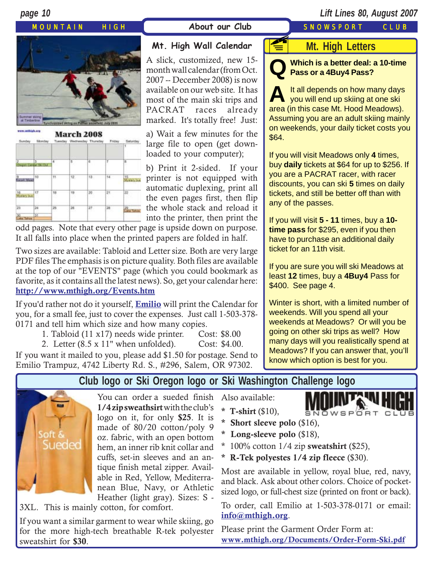## MOUNTAIN HIGH **About our Club** SNOWSPORT CLUB

# *page 10 Lift Lines 80, August 2007*







# **Mt. High Wall Calendar**

A slick, customized, new 15 month wall calendar (from Oct. 2007 -- December 2008) is now available on our web site. It has most of the main ski trips and PACRAT races already marked. It's totally free! Just:

a) Wait a few minutes for the large file to open (get downloaded to your computer);

b) Print it 2-sided. If your printer is not equipped with automatic duplexing, print all the even pages first, then flip the whole stack and reload it into the printer, then print the

odd pages. Note that every other page is upside down on purpose. It all falls into place when the printed papers are folded in half.

Two sizes are available: Tabloid and Letter size. Both are very large PDF files The emphasis is on picture quality. Both files are available at the top of our "EVENTS" page (which you could bookmark as favorite, as it contains all the latest news). So, get your calendar here: **<http://www.mthigh.org/Events.htm>**

If you'd rather not do it yourself, **[Emilio](mailto:Emilio2000@earthlink.net)** will print the Calendar for you, for a small fee, just to cover the expenses. Just call 1-503-378- 0171 and tell him which size and how many copies.

1. Tabloid (11 x17) needs wide printer. Cost: \$8.00

2. Letter (8.5 x 11" when unfolded). Cost: \$4.00.

If you want it mailed to you, please add \$1.50 for postage. Send to Emilio Trampuz, 4742 Liberty Rd. S., #296, Salem, OR 97302.

# **Mt. High Letters**

**F** 

**Q Which is a better deal: a 10-time Pass or a 4Buy4 Pass?**

A It all depends on how many days<br>you will end up skiing at one ski area (in this case Mt. Hood Meadows). Assuming you are an adult skiing mainly on weekends, your daily ticket costs you \$64.

If you will visit Meadows only **4** times, buy **daily** tickets at \$64 for up to \$256. If you are a PACRAT racer, with racer discounts, you can ski **5** times on daily tickets, and still be better off than with any of the passes.

If you will visit **5 - 11** times, buy a **10 time pass** for \$295, even if you then have to purchase an additional daily ticket for an 11th visit.

If you are sure you will ski Meadows at least **12** times, buy a **4Buy4** Pass for \$400. See page 4.

Winter is short, with a limited number of weekends. Will you spend all your weekends at Meadows? Or will you be going on other ski trips as well? How many days will you realistically spend at Meadows? If you can answer that, you'll know which option is best for you.

**Club logo or Ski Oregon logo or Ski Washington Challenge logo**



You can order a sueded finish **1/4 zip sweathsirt** with the club's logo on it, for only **\$25**. It is made of 80/20 cotton/poly 9 oz. fabric, with an open bottom hem, an inner rib knit collar and cuffs, set-in sleeves and an antique finish metal zipper. Available in Red, Yellow, Mediterranean Blue, Navy, or Athletic Heather (light gray). Sizes: S -

3XL. This is mainly cotton, for comfort.

If you want a similar garment to wear while skiing, go for the more high-tech breathable R-tek polyester sweatshirt for **\$30**.

Also available:

**\* T-shirt** (\$10),



- **\* Short sleeve polo** (\$16),
- **\* Long-sleeve polo** (\$18),
- \* 100% cotton 1/4 zip **sweatshirt** (\$25),
- **\* R-Tek polyestes 1/4 zip fleece** (\$30).

Most are available in yellow, royal blue, red, navy, and black. Ask about other colors. Choice of pocketsized logo, or full-chest size (printed on front or back).

To order, call Emilio at 1-503-378-0171 or email: **i[nfo@mthigh.org](mailto:info@mthigh.org)**.

Please print the Garment Order Form at: **[www.mthigh.org/Documents/Order-Form-Ski.pdf](http://www.mthigh.org/Documents/Order-Form-Ski.pdf)**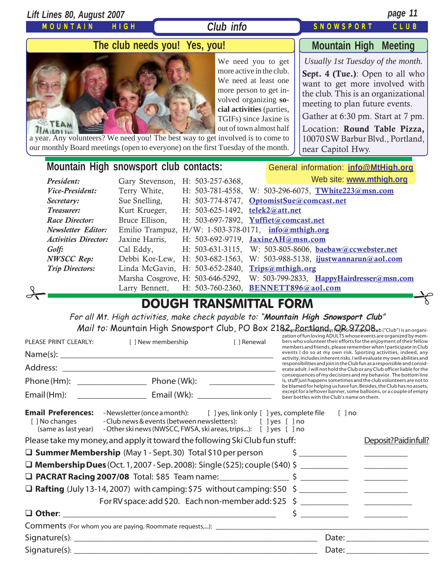| Lift Lines 80, August 2007                                                                                                                                                                                                                                                        |                                                                                                                                                                                                                                      |                                                                                                                                                                                                                                                                                                                                                   |                              |                                                                                                                                                                                                                                                                                                                                                                                                                                                                                                                                                                                                                                                                                                                                                                                                                                               | page 11                                             |
|-----------------------------------------------------------------------------------------------------------------------------------------------------------------------------------------------------------------------------------------------------------------------------------|--------------------------------------------------------------------------------------------------------------------------------------------------------------------------------------------------------------------------------------|---------------------------------------------------------------------------------------------------------------------------------------------------------------------------------------------------------------------------------------------------------------------------------------------------------------------------------------------------|------------------------------|-----------------------------------------------------------------------------------------------------------------------------------------------------------------------------------------------------------------------------------------------------------------------------------------------------------------------------------------------------------------------------------------------------------------------------------------------------------------------------------------------------------------------------------------------------------------------------------------------------------------------------------------------------------------------------------------------------------------------------------------------------------------------------------------------------------------------------------------------|-----------------------------------------------------|
| <b>MOUNTAIN</b>                                                                                                                                                                                                                                                                   | HIGH                                                                                                                                                                                                                                 | Club info                                                                                                                                                                                                                                                                                                                                         |                              | <b>SNOWSPORT</b>                                                                                                                                                                                                                                                                                                                                                                                                                                                                                                                                                                                                                                                                                                                                                                                                                              | CLUB                                                |
| The club needs you! Yes, you!                                                                                                                                                                                                                                                     |                                                                                                                                                                                                                                      |                                                                                                                                                                                                                                                                                                                                                   | <b>Mountain High Meeting</b> |                                                                                                                                                                                                                                                                                                                                                                                                                                                                                                                                                                                                                                                                                                                                                                                                                                               |                                                     |
| a year. Any volunteers? We need you! The best way to get involved is to come to<br>our monthly Board meetings (open to everyone) on the first Tuesday of the month.                                                                                                               |                                                                                                                                                                                                                                      | We need you to get<br>more active in the club.<br>We need at least one<br>more person to get in-<br>volved organizing so-<br>cial activities (parties,<br>TGIFs) since Jaxine is<br>out of town almost half                                                                                                                                       |                              | Usually 1st Tuesday of the month.<br>Sept. 4 (Tue.): Open to all who<br>want to get more involved with<br>the club. This is an organizational<br>meeting to plan future events.<br>Gather at 6:30 pm. Start at 7 pm.<br>Location: Round Table Pizza,<br>10070 SW Barbur Blvd., Portland,<br>near Capitol Hwy.                                                                                                                                                                                                                                                                                                                                                                                                                                                                                                                                 |                                                     |
| President:<br>Vice-President:<br>Secretary:<br>Treasurer:<br><b>Race Director:</b><br><b>Newsletter Editor:</b><br><b>Activities Director:</b><br>Golf:<br><b>NWSCC</b> Rep:<br><b>Trip Directors:</b>                                                                            | Mountain High snowsport club contacts:<br>Gary Stevenson, H: 503-257-6368,<br>Terry White,<br>Sue Snelling,<br>Kurt Krueger,<br>Bruce Ellison,<br>Jaxine Harris,<br>Cal Eddy,<br>Debbi Kor-Lew,<br>Marsha Cosgrove, H: 503-646-5292, | H: 503-781-4558,<br>H: 503-774-8747,<br>H: 503-625-1492, telek2@att.net<br>H: 503-697-7892, Yuffiet@comcast.net<br>Emilio Trampuz, H/W: 1-503-378-0171, info@mthigh.org<br>H: 503-692-9719, JaxineAH@msn.com<br>$H: 503-631-3115,$<br>H: 503-682-1563, W: 503-988-5138, ijustwannarun@aol.com<br>Linda McGavin, H: 503-652-2840, Trips@mthigh.org |                              | General information: info@MtHigh.org<br>Web site: www.mthigh.org<br>W: 503-296-6075, TWhite223@msn.com<br>OptomistSue@comcast.net<br>W: 503-805-8606, baebaw@ccwebster.net<br>W: 503-799-2833, HappyHairdresser@msn.com                                                                                                                                                                                                                                                                                                                                                                                                                                                                                                                                                                                                                       |                                                     |
|                                                                                                                                                                                                                                                                                   | Larry Bennett,                                                                                                                                                                                                                       | H: 503-760-2360, BENNETT896@aol.com                                                                                                                                                                                                                                                                                                               |                              |                                                                                                                                                                                                                                                                                                                                                                                                                                                                                                                                                                                                                                                                                                                                                                                                                                               |                                                     |
| PLEASE PRINT CLEARLY:<br>Email (Hm):                                                                                                                                                                                                                                              | [ ] New membership                                                                                                                                                                                                                   | <b>DOUGH TRANSMITTAL FORM</b><br>For all Mt. High activities, make check payable to: "Mountain High Snowsport Club"<br>Mail to: Mountain High Snowsport Club, PO Box 2182 Grand and in GRS 275208 Wb ("Club") is an organi-<br>[ ] Renewal                                                                                                        |                              | zation of fun loving ADULTS whose events are organized by mem-<br>bers who volunteer their efforts for the enjoyment of their fellow<br>members and friends, please remember when I participate in Club<br>events I do so at my own risk. Sporting activities, indeed, any<br>activity, includes inherent risks. I will evaluate my own abilities and<br>responsibilities and join in the Club fun as a responsible and consid-<br>erate adult. I will not hold the Club or any Club officer liable for the<br>consequences of my decisions and my behavior. The bottom line<br>is, stuff just happens sometimes and the club volunteers are not to<br>be blamed for helping us have fun. Besides, the Club has no assets,<br>except for a leftover banner, some balloons, or a couple of empty<br>beer bottles with the Club's name on them. |                                                     |
| <b>Email Preferences:</b> -Newsletter (once a month): [ ] yes, link only [ ] yes, complete file<br>[ ] No changes<br>Please take my money, and apply it toward the following Ski Club fun stuff:<br>□ Summer Membership (May 1 - Sept. 30) Total \$10 per person<br>$\Box$ Other: |                                                                                                                                                                                                                                      | -Club news & events (between newsletters): [ ] yes [ ] no<br>(same as last year) - Other ski news (NWSCC, FWSA, ski areas, trips): [ ] yes [ ] no<br>For RV space: add \$20. Each non-member add: \$25 \$ ______________________________                                                                                                          |                              | $[ ]$ no<br>$\frac{1}{2}$<br>$\frac{1}{2}$ $\frac{1}{2}$ $\frac{1}{2}$ $\frac{1}{2}$ $\frac{1}{2}$ $\frac{1}{2}$ $\frac{1}{2}$ $\frac{1}{2}$ $\frac{1}{2}$ $\frac{1}{2}$ $\frac{1}{2}$ $\frac{1}{2}$ $\frac{1}{2}$ $\frac{1}{2}$ $\frac{1}{2}$ $\frac{1}{2}$ $\frac{1}{2}$ $\frac{1}{2}$ $\frac{1}{2}$ $\frac{1}{2}$ $\frac{1}{2}$ $\frac{1}{2}$                                                                                                                                                                                                                                                                                                                                                                                                                                                                                              | Deposit?Paidinfull?<br><u> Liberatura de la pro</u> |
|                                                                                                                                                                                                                                                                                   |                                                                                                                                                                                                                                      |                                                                                                                                                                                                                                                                                                                                                   |                              |                                                                                                                                                                                                                                                                                                                                                                                                                                                                                                                                                                                                                                                                                                                                                                                                                                               |                                                     |

| $\sim \cdot$       | $-$ |
|--------------------|-----|
| Signa <sup>+</sup> | –   |
| ____________       |     |

Signature(s): \_\_\_\_\_\_\_\_\_\_\_\_\_\_\_\_\_\_\_\_\_\_\_\_\_\_\_\_\_\_\_\_\_\_\_\_\_\_\_\_\_\_\_\_\_\_\_\_\_\_\_\_\_\_\_\_ Date: \_\_\_\_\_\_\_\_\_\_\_\_\_\_\_\_\_\_\_